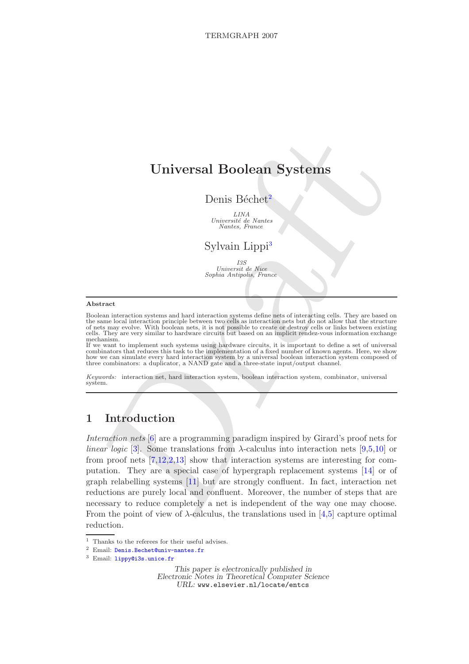# Universal Boolean Systems

# Denis Béchet<sup>2</sup>

LINA Université de Nantes Nantes, France

# Sylvain Lippi<sup>3</sup>

I3S Universit de Nice Sophia Antipolis, France

#### Abstract

Boolean interaction systems and hard interaction systems define nets of interacting cells. They are based on the same local interaction principle between two cells as interaction nets but do not allow that the structure of nets may evolve. With boolean nets, it is not possible to create or destroy cells or links between existing cells. They are very similar to hardware circuits but based on an implicit rendez-vous information exchange mechanism.

If we want to implement such systems using hardware circuits, it is important to define a set of universal combinators that reduces this task to the implementation of a fixed number of known agents. Here, we show how we can simulate every hard interaction system by a universal boolean interaction system composed of three combinators: a duplicator, a NAND gate and a three-state input/output channel.

Keywords: interaction net, hard interaction system, boolean interaction system, combinator, universal system.

# 1 Introduction

**Universal Boolean Systems**<br> [D](#page-11-2)enis Béchet<sup>2</sup><br>
Denis Béchet<sup>2</sup><br>
Universal de Natus<br>
Natus<br>
Natus<br>
Natus<br>
Natus<br>
Natus<br>
Natus<br>
Sylvain Lippi<sup>3</sup><br>
Sylvain Lippi<sup>3</sup><br>
Sylvain Lippi<sup>3</sup><br>
Sylvain Lippi<sup>3</sup><br>
Sylvain Lippi<sup>3</sup><br>
Sylvai Interaction nets [6] are a programming paradigm inspired by Girard's proof nets for *linear logic* [3]. Some translations from  $\lambda$ -calculus into interaction nets [9,5,10] or from proof nets [7,12,2,13] show that interaction systems are interesting for computation. They are a special case of hypergraph replacement systems [14] or of graph relabelling systems [11] but are strongly confluent. In fact, interaction net reductions are purely local and confluent. Moreover, the number of steps that are necessary to reduce completely a net is independent of the way one may choose. From the point of view of  $\lambda$ -calculus, the translations used in [4,5] capture optimal reduction.

This paper is electronically published in Electronic Notes in Theoretical Computer Science URL: www.elsevier.nl/locate/entcs

 $^{\rm 1}$  Thanks to the referees for their useful advises.

<sup>2</sup> Email: [Denis.Bechet@univ-nantes.fr](mailto:Denis.Bechet@univ-nantes.fr)

<sup>3</sup> Email: [lippy@i3s.unice.fr](mailto:lippy@i3s.unice.fr)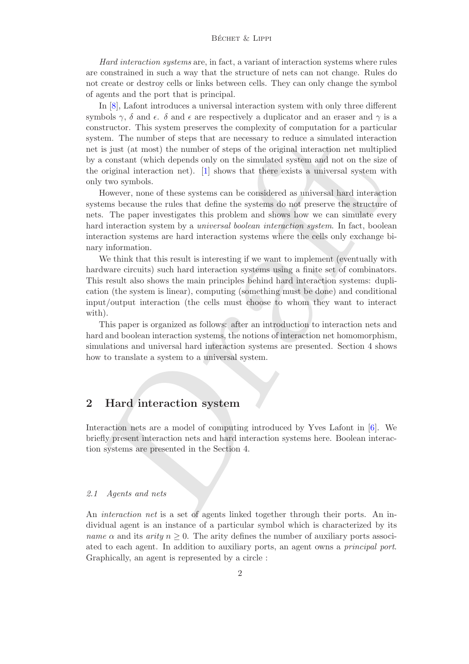Hard interaction systems are, in fact, a variant of interaction systems where rules are constrained in such a way that the structure of nets can not change. Rules do not create or destroy cells or links between cells. They can only change the symbol of agents and the port that is principal.

In [\[8\]](#page-10-6), Lafont introduces a universal interaction system with only three different symbols  $\gamma$ ,  $\delta$  and  $\epsilon$ .  $\delta$  and  $\epsilon$  are respectively a duplicator and an eraser and  $\gamma$  is a constructor. This system preserves the complexity of computation for a particular system. The number of steps that are necessary to reduce a simulated interaction net is just (at most) the number of steps of the original interaction net multiplied by a constant (which depends only on the simulated system and not on the size of the original interaction net). [1] shows that there exists a universal system with only two symbols.

tem. The number of steps that are necessary to reduce a simulated interaction is just (at most) the mumber of steps of the original interaction net multiplies a constant (which depends only on the simulated system and not However, none of these systems can be considered as universal hard interaction systems because the rules that define the systems do not preserve the structure of nets. The paper investigates this problem and shows how we can simulate every hard interaction system by a *universal boolean interaction system*. In fact, boolean interaction systems are hard interaction systems where the cells only exchange binary information.

We think that this result is interesting if we want to implement (eventually with hardware circuits) such hard interaction systems using a finite set of combinators. This result also shows the main principles behind hard interaction systems: duplication (the system is linear), computing (something must be done) and conditional input/output interaction (the cells must choose to whom they want to interact with).

This paper is organized as follows: after an introduction to interaction nets and hard and boolean interaction systems, the notions of interaction net homomorphism, simulations and universal hard interaction systems are presented. Section 4 shows how to translate a system to a universal system.

# 2 Hard interaction system

Interaction nets are a model of computing introduced by Yves Lafont in [6]. We briefly present interaction nets and hard interaction systems here. Boolean interaction systems are presented in the Section 4.

### 2.1 Agents and nets

An interaction net is a set of agents linked together through their ports. An individual agent is an instance of a particular symbol which is characterized by its name  $\alpha$  and its *arity*  $n \geq 0$ . The arity defines the number of auxiliary ports associated to each agent. In addition to auxiliary ports, an agent owns a principal port. Graphically, an agent is represented by a circle :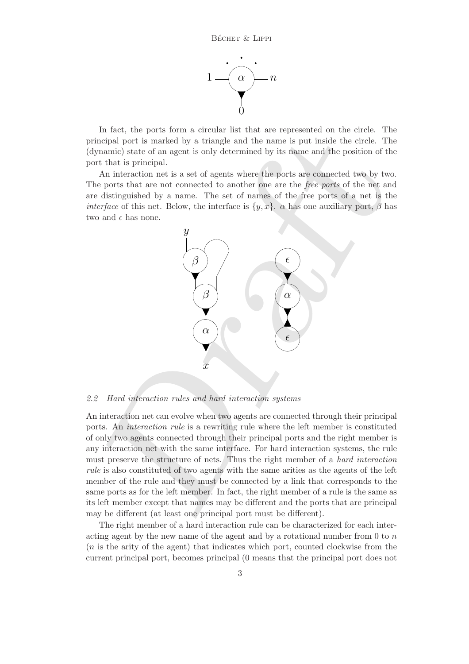

In fact, the ports form a circular list that are represented on the circle. The principal port is marked by a triangle and the name is put inside the circle. The (dynamic) state of an agent is only determined by its name and the position of the port that is principal.

An interaction net is a set of agents where the ports are connected two by two. The ports that are not connected to another one are the free ports of the net and are distinguished by a name. The set of names of the free ports of a net is the *interface* of this net. Below, the interface is  $\{y, x\}$ .  $\alpha$  has one auxiliary port,  $\beta$  has two and  $\epsilon$  has none.



2.2 Hard interaction rules and hard interaction systems

The three can power band in critical into the time and the product of the density in<br>the dial point is marked by a transite and the name is put inside the circle. The<br>moral point is such a set of agents where the ports ar An interaction net can evolve when two agents are connected through their principal ports. An interaction rule is a rewriting rule where the left member is constituted of only two agents connected through their principal ports and the right member is any interaction net with the same interface. For hard interaction systems, the rule must preserve the structure of nets. Thus the right member of a hard interaction rule is also constituted of two agents with the same arities as the agents of the left member of the rule and they must be connected by a link that corresponds to the same ports as for the left member. In fact, the right member of a rule is the same as its left member except that names may be different and the ports that are principal may be different (at least one principal port must be different).

The right member of a hard interaction rule can be characterized for each interacting agent by the new name of the agent and by a rotational number from  $0$  to  $n$ (n is the arity of the agent) that indicates which port, counted clockwise from the current principal port, becomes principal (0 means that the principal port does not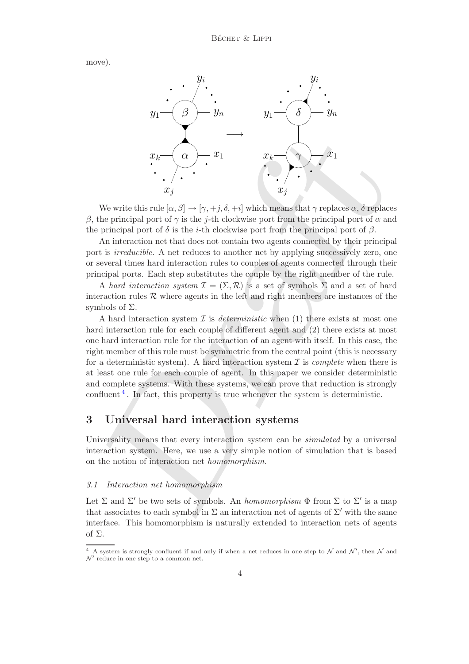move).



We write this rule  $[\alpha, \beta] \rightarrow [\gamma, +j, \delta, +i]$  which means that  $\gamma$  replaces  $\alpha$ ,  $\delta$  replaces β, the principal port of  $\gamma$  is the j-th clockwise port from the principal port of  $\alpha$  and the principal port of  $\delta$  is the *i*-th clockwise port from the principal port of  $\beta$ .

An interaction net that does not contain two agents connected by their principal port is irreducible. A net reduces to another net by applying successively zero, one or several times hard interaction rules to couples of agents connected through their principal ports. Each step substitutes the couple by the right member of the rule.

A hard interaction system  $\mathcal{I} = (\Sigma, \mathcal{R})$  is a set of symbols  $\Sigma$  and a set of hard interaction rules  $R$  where agents in the left and right members are instances of the symbols of  $\Sigma$ .

 $x_k \overbrace{\left\{\begin{array}{l} x_k \\ x_j \end{array}\right\}}^{x_k} \overbrace{\left\{\begin{array}{l} x_k \\ x_j \end{array}\right\}}^{x_k} \overbrace{\left\{\begin{array}{l} x_k \\ x_j \end{array}\right\}}^{x_k} \overbrace{\left\{\begin{array}{l} x_k \\ x_j \end{array}\right\}}^{x_k} \overbrace{\left\{\begin{array}{l} x_k \\ x_j \end{array}\right\}}^{x_k} \overbrace{\left\{\begin{array}{l} x_k \\ x_j \end{array}\right\}}^{x_k} \overbrace{\left\{\begin{array}{l} x_k \\ x_k \end{array}\right\}}^{x_k} \overbrace{\left\{\begin$ A hard interaction system  $\mathcal I$  is *deterministic* when (1) there exists at most one hard interaction rule for each couple of different agent and (2) there exists at most one hard interaction rule for the interaction of an agent with itself. In this case, the right member of this rule must be symmetric from the central point (this is necessary for a deterministic system). A hard interaction system  $\mathcal I$  is *complete* when there is at least one rule for each couple of agent. In this paper we consider deterministic and complete systems. With these systems, we can prove that reduction is strongly confluent <sup>4</sup> . In fact, this property is true whenever the system is deterministic.

# <span id="page-3-0"></span>3 Universal hard interaction systems

Universality means that every interaction system can be *simulated* by a universal interaction system. Here, we use a very simple notion of simulation that is based on the notion of interaction net homomorphism.

### 3.1 Interaction net homomorphism

Let  $\Sigma$  and  $\Sigma'$  be two sets of symbols. An *homomorphism*  $\Phi$  from  $\Sigma$  to  $\Sigma'$  is a map that associates to each symbol in  $\Sigma$  an interaction net of agents of  $\Sigma'$  with the same interface. This homomorphism is naturally extended to interaction nets of agents of  $\Sigma$ .

<span id="page-3-1"></span><sup>&</sup>lt;sup>4</sup> A system is strongly confluent if and only if when a net reduces in one step to N and N', then N and  $\mathcal{N}'$  reduce in one step to a common net.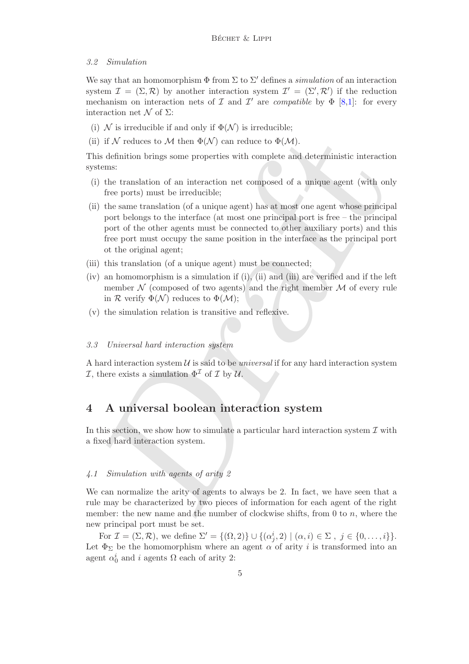### 3.2 Simulation

We say that an homomorphism  $\Phi$  from  $\Sigma$  to  $\Sigma'$  defines a *simulation* of an interaction system  $\mathcal{I} = (\Sigma, \mathcal{R})$  by another interaction system  $\mathcal{I}' = (\Sigma', \mathcal{R}')$  if the reduction mechanism on interaction nets of  $\mathcal I$  and  $\mathcal I'$  are *compatible* by  $\Phi$  [\[8](#page-10-6)[,1\]](#page-10-7): for every interaction net  $\mathcal N$  of  $\Sigma$ :

- (i) N is irreducible if and only if  $\Phi(\mathcal{N})$  is irreducible;
- (ii) if N reduces to M then  $\Phi(\mathcal{N})$  can reduce to  $\Phi(\mathcal{M})$ .

This definition brings some properties with complete and deterministic interaction systems:

- (i) the translation of an interaction net composed of a unique agent (with only free ports) must be irreducible;
- ) if N reduces to M then  $\Phi(N)$  can reduce to  $\Phi(M)$ .<br>
is definition brings some properties with complete and deterministic interaction<br>
terms:<br>
terms:<br>
terms is the translation of an interaction net composed of a unique (ii) the same translation (of a unique agent) has at most one agent whose principal port belongs to the interface (at most one principal port is free – the principal port of the other agents must be connected to other auxiliary ports) and this free port must occupy the same position in the interface as the principal port ot the original agent;
- (iii) this translation (of a unique agent) must be connected;
- (iv) an homomorphism is a simulation if (i), (ii) and (iii) are verified and if the left member  $\mathcal N$  (composed of two agents) and the right member  $\mathcal M$  of every rule in R verify  $\Phi(\mathcal{N})$  reduces to  $\Phi(\mathcal{M})$ ;
- (v) the simulation relation is transitive and reflexive.

# 3.3 Universal hard interaction system

A hard interaction system  $U$  is said to be *universal* if for any hard interaction system *I*, there exists a simulation  $\Phi^{\mathcal{I}}$  of *I* by *U*.

# 4 A universal boolean interaction system

In this section, we show how to simulate a particular hard interaction system  $\mathcal I$  with a fixed hard interaction system.

## 4.1 Simulation with agents of arity 2

We can normalize the arity of agents to always be 2. In fact, we have seen that a rule may be characterized by two pieces of information for each agent of the right member: the new name and the number of clockwise shifts, from 0 to  $n$ , where the new principal port must be set.

For  $\mathcal{I} = (\Sigma, \mathcal{R})$ , we define  $\Sigma' = \{(\Omega, 2)\} \cup \{(\alpha_j^i, 2) \mid (\alpha, i) \in \Sigma, j \in \{0, \ldots, i\}\}.$ Let  $\Phi_{\Sigma}$  be the homomorphism where an agent  $\alpha$  of arity i is transformed into an agent  $\alpha_0^i$  and i agents  $\Omega$  each of arity 2: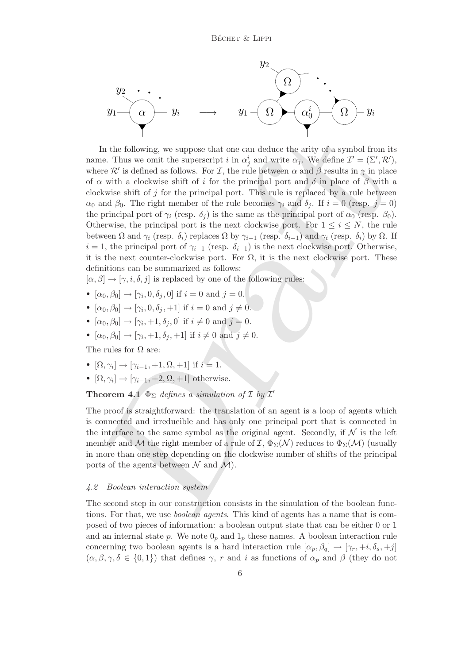

In the following, we suppose that one can deduce the arity of a symbol from in<br>e. Thus we omit the superscript  $i$  in  $\alpha_j^i$  and write  $\alpha_j$ . We define  $T' = \langle \Sigma^i, R'$ <br>care  $T'$  is defined as follows. For  $T$ , the rule be In the following, we suppose that one can deduce the arity of a symbol from its name. Thus we omit the superscript *i* in  $\alpha_j^i$  and write  $\alpha_j$ . We define  $\mathcal{I}' = (\Sigma', \mathcal{R}'),$ where  $\mathcal{R}'$  is defined as follows. For *I*, the rule between  $\alpha$  and  $\beta$  results in  $\gamma$  in place of  $\alpha$  with a clockwise shift of i for the principal port and  $\delta$  in place of  $\beta$  with a clockwise shift of  $j$  for the principal port. This rule is replaced by a rule between  $\alpha_0$  and  $\beta_0$ . The right member of the rule becomes  $\gamma_i$  and  $\delta_j$ . If  $i = 0$  (resp.  $j = 0$ ) the principal port of  $\gamma_i$  (resp.  $\delta_i$ ) is the same as the principal port of  $\alpha_0$  (resp.  $\beta_0$ ). Otherwise, the principal port is the next clockwise port. For  $1 \leq i \leq N$ , the rule between  $\Omega$  and  $\gamma_i$  (resp.  $\delta_i$ ) replaces  $\Omega$  by  $\gamma_{i-1}$  (resp.  $\delta_{i-1}$ ) and  $\gamma_i$  (resp.  $\delta_i$ ) by  $\Omega$ . If  $i = 1$ , the principal port of  $\gamma_{i-1}$  (resp.  $\delta_{i-1}$ ) is the next clockwise port. Otherwise, it is the next counter-clockwise port. For  $\Omega$ , it is the next clockwise port. These definitions can be summarized as follows:

 $[\alpha, \beta] \rightarrow [\gamma, i, \delta, j]$  is replaced by one of the following rules:

- $[\alpha_0, \beta_0] \rightarrow [\gamma_i, 0, \delta_j, 0]$  if  $i = 0$  and  $j = 0$ .
- $[\alpha_0, \beta_0] \rightarrow [\gamma_i, 0, \delta_j, +1]$  if  $i = 0$  and  $j \neq 0$ .
- $[\alpha_0, \beta_0] \rightarrow [\gamma_i, +1, \delta_j, 0]$  if  $i \neq 0$  and  $j = 0$ .
- $[\alpha_0, \beta_0] \rightarrow [\gamma_i, +1, \delta_j, +1]$  if  $i \neq 0$  and  $j \neq 0$ .

The rules for  $\Omega$  are:

- $[\Omega, \gamma_i] \rightarrow [\gamma_{i-1}, +1, \Omega, +1]$  if  $i = 1$ .
- <span id="page-5-0"></span>•  $[\Omega, \gamma_i] \rightarrow [\gamma_{i-1}, +2, \Omega, +1]$  otherwise.

**Theorem 4.1**  $\Phi_{\Sigma}$  defines a simulation of  $\overline{\mathcal{I}}$  by  $\overline{\mathcal{I}}'$ 

The proof is straightforward: the translation of an agent is a loop of agents which is connected and irreducible and has only one principal port that is connected in the interface to the same symbol as the original agent. Secondly, if  $\mathcal N$  is the left member and M the right member of a rule of  $\mathcal{I}, \Phi_{\Sigma}(\mathcal{N})$  reduces to  $\Phi_{\Sigma}(\mathcal{M})$  (usually in more than one step depending on the clockwise number of shifts of the principal ports of the agents between  $\mathcal N$  and  $\mathcal M$ ).

## 4.2 Boolean interaction system

The second step in our construction consists in the simulation of the boolean functions. For that, we use boolean agents. This kind of agents has a name that is composed of two pieces of information: a boolean output state that can be either 0 or 1 and an internal state p. We note  $0_p$  and  $1_p$  these names. A boolean interaction rule concerning two boolean agents is a hard interaction rule  $[\alpha_p, \beta_q] \rightarrow [\gamma_r, +i, \delta_s, +j]$  $(\alpha, \beta, \gamma, \delta \in \{0,1\})$  that defines  $\gamma$ , r and i as functions of  $\alpha_p$  and  $\beta$  (they do not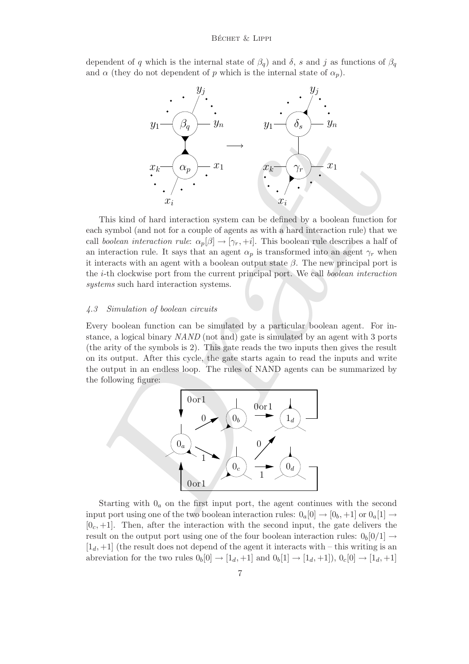dependent of q which is the internal state of  $\beta_q$ ) and  $\delta$ , s and j as functions of  $\beta_q$ and  $\alpha$  (they do not dependent of p which is the internal state of  $\alpha_p$ ).



 $x_k = \underbrace{\alpha_p}_{x_i} \underbrace{\alpha_p}_{x_i} \underbrace{\alpha_p}_{x_i} \underbrace{\alpha_r}_{x_i} \underbrace{\gamma_r}_{x_i} \underbrace{\gamma_r}_{x_i} \underbrace{\gamma_r}_{x_i} \underbrace{\gamma_r}_{x_i} \underbrace{\gamma_r}_{x_i} \underbrace{\gamma_r}_{x_i} \underbrace{\gamma_r}_{x_i} \underbrace{\gamma_r}_{x_i} \underbrace{\gamma_r}_{x_i} \underbrace{\gamma_r}_{x_i} \underbrace{\gamma_r}_{x_i} \underbrace{\gamma_r}_{x_i} \underbrace{\gamma_r}_{x_i} \underbrace{\gamma_r}_{x_i} \underbrace{\gamma_r}_{x_i} \underbrace{\gamma_r}_{x_i} \underbrace{\gamma_r}_{x_i} \underbrace{\gamma_r}_{$ This kind of hard interaction system can be defined by a boolean function for each symbol (and not for a couple of agents as with a hard interaction rule) that we call boolean interaction rule:  $\alpha_p[\beta] \to [\gamma_r, +i]$ . This boolean rule describes a half of an interaction rule. It says that an agent  $\alpha_p$  is transformed into an agent  $\gamma_r$  when it interacts with an agent with a boolean output state  $\beta$ . The new principal port is the i-th clockwise port from the current principal port. We call boolean interaction systems such hard interaction systems.

### 4.3 Simulation of boolean circuits

Every boolean function can be simulated by a particular boolean agent. For instance, a logical binary NAND (not and) gate is simulated by an agent with 3 ports (the arity of the symbols is 2). This gate reads the two inputs then gives the result on its output. After this cycle, the gate starts again to read the inputs and write the output in an endless loop. The rules of NAND agents can be summarized by the following figure:



Starting with  $0<sub>a</sub>$  on the first input port, the agent continues with the second input port using one of the two boolean interaction rules:  $0_a[0] \rightarrow [0_b, +1]$  or  $0_a[1] \rightarrow$  $[0<sub>c</sub>, +1]$ . Then, after the interaction with the second input, the gate delivers the result on the output port using one of the four boolean interaction rules:  $0<sub>b</sub>[0/1] \rightarrow$  $[1_d, +1]$  (the result does not depend of the agent it interacts with – this writing is an abreviation for the two rules  $0_b[0] \rightarrow [1_d, +1]$  and  $0_b[1] \rightarrow [1_d, +1]$ ,  $0_c[0] \rightarrow [1_d, +1]$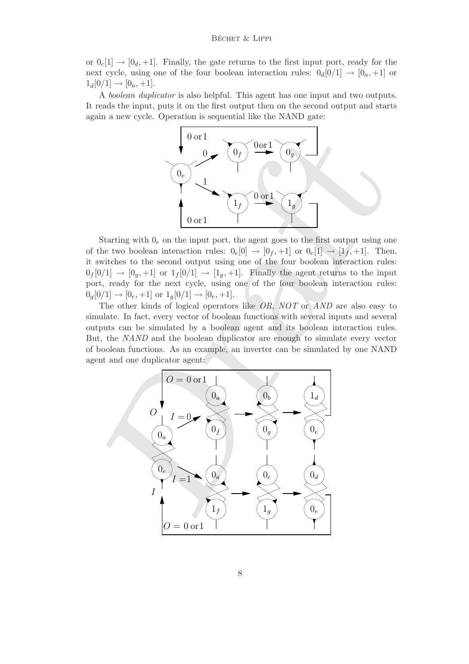### BÉCHET & LIPPI

or  $0_c[1] \rightarrow [0_d, +1]$ . Finally, the gate returns to the first input port, ready for the next cycle, using one of the four boolean interaction rules:  $0_d[0/1] \rightarrow [0_a, +1]$  or  $1_d[0/1] \rightarrow [0_a, +1].$ 

A boolean duplicator is also helpful. This agent has one input and two outputs. It reads the input, puts it on the first output then on the second output and starts again a new cycle. Operation is sequential like the NAND gate:



Starting with  $0<sub>e</sub>$  on the input port, the agent goes to the first output using one of the two boolean interaction rules:  $0_e[0] \rightarrow [0_f, +1]$  or  $0_e[1] \rightarrow [1_f, +1]$ . Then, it switches to the second output using one of the four boolean interaction rules:  $0_f[0/1] \rightarrow [0_q, +1]$  or  $1_f[0/1] \rightarrow [1_q, +1]$ . Finally the agent returns to the input port, ready for the next cycle, using one of the four boolean interaction rules:  $0_g[0/1] \to [0_e, +1]$  or  $1_g[0/1] \to [0_e, +1]$ .

The other kinds of logical operators like OR, NOT or AND are also easy to simulate. In fact, every vector of boolean functions with several inputs and several outputs can be simulated by a boolean agent and its boolean interaction rules. But, the NAND and the boolean duplicator are enough to simulate every vector of boolean functions. As an example, an inverter can be simulated by one NAND agent and one duplicator agent:

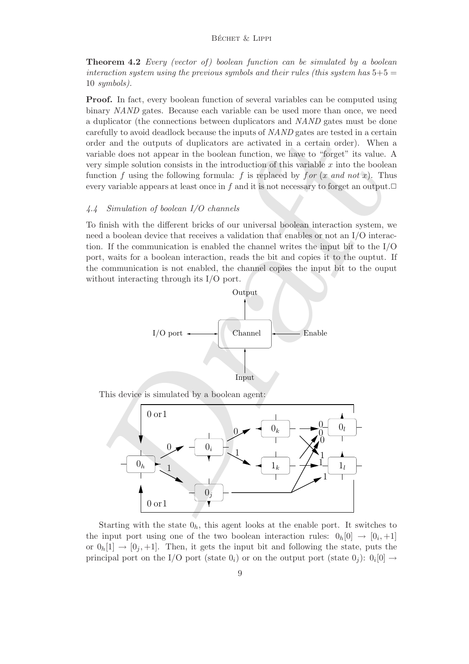Theorem 4.2 Every (vector of) boolean function can be simulated by a boolean interaction system using the previous symbols and their rules (this system has  $5+5=$ 10 symbols).

Proof. In fact, every boolean function of several variables can be computed using binary NAND gates. Because each variable can be used more than once, we need a duplicator (the connections between duplicators and NAND gates must be done carefully to avoid deadlock because the inputs of NAND gates are tested in a certain order and the outputs of duplicators are activated in a certain order). When a variable does not appear in the boolean function, we have to "forget" its value. A very simple solution consists in the introduction of this variable  $x$  into the boolean function f using the following formula: f is replaced by for  $(x \text{ and not } x)$ . Thus every variable appears at least once in f and it is not necessary to forget an output. $\Box$ 

### 4.4 Simulation of boolean I/O channels

To finish with the different bricks of our universal boolean interaction system, we need a boolean device that receives a validation that enables or not an I/O interaction. If the communication is enabled the channel writes the input bit to the I/O port, waits for a boolean interaction, reads the bit and copies it to the ouptut. If the communication is not enabled, the channel copies the input bit to the ouput without interacting through its I/O port.



This device is simulated by a boolean agent:



Starting with the state  $0<sub>h</sub>$ , this agent looks at the enable port. It switches to the input port using one of the two boolean interaction rules:  $0_h[0] \rightarrow [0_i, +1]$ or  $0_h[1] \rightarrow [0_i, +1]$ . Then, it gets the input bit and following the state, puts the principal port on the I/O port (state  $0_i$ ) or on the output port (state  $0_j$ ):  $0_i[0] \rightarrow$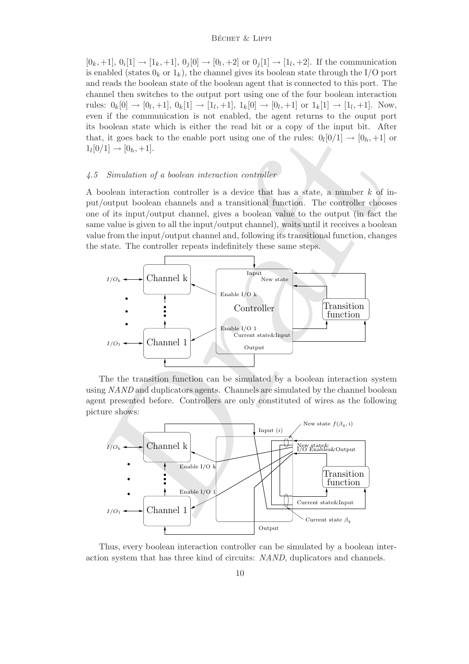### BÉCHET & LIPPI

 $[0_k, +1], 0_i[1] \to [1_k, +1], 0_j[0] \to [0_l, +2]$  or  $0_j[1] \to [1_l, +2]$ . If the communication is enabled (states  $0_k$  or  $1_k$ ), the channel gives its boolean state through the I/O port and reads the boolean state of the boolean agent that is connected to this port. The channel then switches to the output port using one of the four boolean interaction rules:  $0_k[0] \to [0_l, +1], 0_k[1] \to [1_l, +1], 1_k[0] \to [0_l, +1]$  or  $1_k[1] \to [1_l, +1]$ . Now, even if the communication is not enabled, the agent returns to the ouput port its boolean state which is either the read bit or a copy of the input bit. After that, it goes back to the enable port using one of the rules:  $0_l[0/1] \rightarrow [0_h, +1]$  or  $1_l[0/1] \to [0_h, +1].$ 

### 4.5 Simulation of a boolean interaction controller

A boolean interaction controller is a device that has a state, a number k of input/output boolean channels and a transitional function. The controller chooses one of its input/output channel, gives a boolean value to the output (in fact the same value is given to all the input/output channel), waits until it receives a boolean value from the input/output channel and, following its transitional function, changes the state. The controller repeats indefinitely these same steps.



The the transition function can be simulated by a boolean interaction system using NAND and duplicators agents. Channels are simulated by the channel boolean agent presented before. Controllers are only constituted of wires as the following picture shows:



Thus, every boolean interaction controller can be simulated by a boolean interaction system that has three kind of circuits: NAND, duplicators and channels.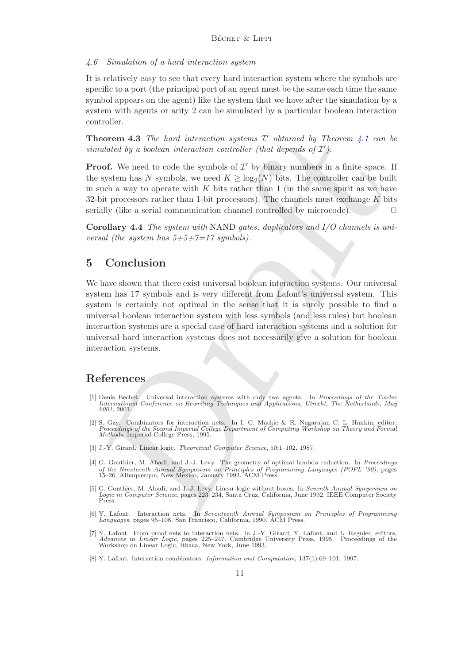#### 4.6 Simulation of a hard interaction system

It is relatively easy to see that every hard interaction system where the symbols are specific to a port (the principal port of an agent must be the same each time the same symbol appears on the agent) like the system that we have after the simulation by a system with agents or arity 2 can be simulated by a particular boolean interaction controller.

**Theorem 4.3** The hard interaction systems  $\mathcal{I}'$  obtained by Theorem 4.1 can be simulated by a boolean interaction controller (that depends of  $\mathcal{I}'$ ).

**Proof.** We need to code the symbols of  $\mathcal{I}'$  by binary numbers in a finite space. If the system has N symbols, we need  $K \geq \log_2(N)$  bits. The controller can be built in such a way to operate with  $K$  bits rather than 1 (in the same spirit as we have 32-bit processors rather than 1-bit processors). The channels must exchange  $K$  bits serially (like a serial communication channel controlled by microcode).

Corollary 4.4 The system with NAND gates, duplicators and I/O channels is universal (the system has  $5+5+7=17$  symbols).

# 5 Conclusion

**However 14.3** The hard in[t](#page-5-0)eraction systems  $T'$  obtained by Theorem 4.1 can banded by a boolean interaction controller (that depends of  $T'$ ), we have the cost (We head to code the system has N symbols, we need  $K \ge \log_2(N$ We have shown that there exist universal boolean interaction systems. Our universal system has 17 symbols and is very different from Lafont's universal system. This system is certainly not optimal in the sense that it is surely possible to find a universal boolean interaction system with less symbols (and less rules) but boolean interaction systems are a special case of hard interaction systems and a solution for universal hard interaction systems does not necessarily give a solution for boolean interaction systems.

# <span id="page-10-7"></span>References

- [1] Denis Bechet. Universal interaction systems with only two agents. In Proccedings of the Twelve International Conference on Rewriting Techniques and Applications, Utrecht, The Netherlands, May 2001, 2001.
- <span id="page-10-4"></span>[2] S. Gay. Combinators for interaction nets. In I. C. Mackie & R. Nagarajan C. L. Hankin, editor, Proceedings of the Second Imperial College Department of Computing Workshop on Theory and Formal Methods. Imperial College Press, 1995.
- <span id="page-10-5"></span><span id="page-10-1"></span>[3] J.-Y. Girard. Linear logic. Theoretical Computer Science, 50:1–102, 1987.
- [4] G. Gonthier, M. Abadi, and J.-J. Levy. The geometry of optimal lambda reduction. In Proceedings of the Nineteenth Annual Symposium on Principles of Programming Languages (POPL '90), pages 15–26, Albuquerque, New Mexico, January 1992. ACM Press.
- <span id="page-10-2"></span>[5] G. Gonthier, M. Abadi, and J.-J. Levy. Linear logic without boxes. In Seventh Annual Symposium on Logic in Computer Science, pages 223–234, Santa Cruz, California, June 1992. IEEE Computer Society Press.
- <span id="page-10-0"></span>[6] Y. Lafont. Interaction nets. In Seventeenth Annual Symposium on Principles of Programming Languages, pages 95–108, San Francisco, California, 1990. ACM Press.
- <span id="page-10-3"></span>[7] Y. Lafont. From proof nets to interaction nets. In J.-Y. Girard, Y. Lafont, and L. Regnier, editors, *Advances in Linear Logic*, pages 225–247. Cambridge University Press, 1995. Proceedings of the Workshop on Linear Lo
- <span id="page-10-6"></span>[8] Y. Lafont. Interaction combinators. Information and Computation, 137(1):69–101, 1997.